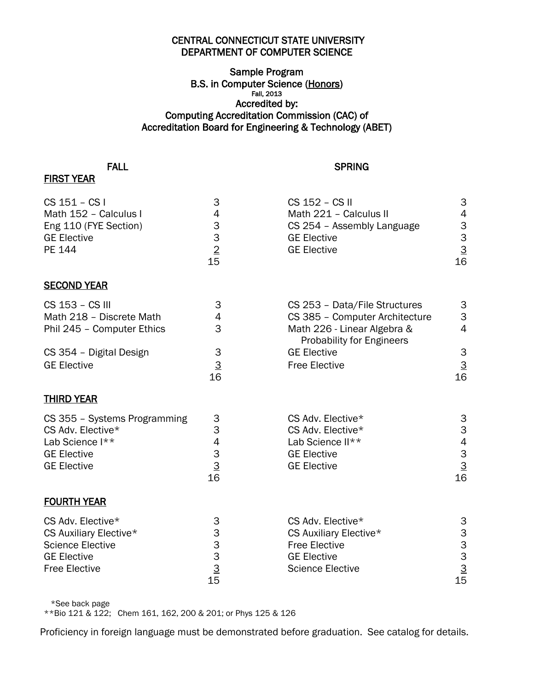## CENTRAL CONNECTICUT STATE UNIVERSITY DEPARTMENT OF COMPUTER SCIENCE

## Sample Program B.S. in Computer Science (Honors) Fall, 2013 Accredited by: Computing Accreditation Commission (CAC) of Accreditation Board for Engineering & Technology (ABET)

## FIRST YEAR

## **FALL** SPRING

| CS 151 - CS I                | 3                                                            | CS 152 - CS II                                                  | 3                                                                                                                                                                                                                                                                                                                                                                                                              |
|------------------------------|--------------------------------------------------------------|-----------------------------------------------------------------|----------------------------------------------------------------------------------------------------------------------------------------------------------------------------------------------------------------------------------------------------------------------------------------------------------------------------------------------------------------------------------------------------------------|
| Math 152 - Calculus I        | $\overline{\mathcal{A}}$                                     | Math 221 - Calculus II                                          | $\overline{4}$                                                                                                                                                                                                                                                                                                                                                                                                 |
| Eng 110 (FYE Section)        | $\begin{array}{c} 3 \\ 3 \\ \underline{2} \\ 15 \end{array}$ | CS 254 - Assembly Language                                      | $\begin{array}{@{}c@{\hspace{1em}}c@{\hspace{1em}}c@{\hspace{1em}}c@{\hspace{1em}}c@{\hspace{1em}}c@{\hspace{1em}}c@{\hspace{1em}}c@{\hspace{1em}}c@{\hspace{1em}}c@{\hspace{1em}}c@{\hspace{1em}}c@{\hspace{1em}}c@{\hspace{1em}}c@{\hspace{1em}}c@{\hspace{1em}}c@{\hspace{1em}}c@{\hspace{1em}}c@{\hspace{1em}}c@{\hspace{1em}}c@{\hspace{1em}}c@{\hspace{1em}}c@{\hspace{1em}}c@{\hspace{1em}}c@{\hspace{$ |
| <b>GE Elective</b>           |                                                              | <b>GE Elective</b>                                              |                                                                                                                                                                                                                                                                                                                                                                                                                |
| PE 144                       |                                                              | <b>GE Elective</b>                                              |                                                                                                                                                                                                                                                                                                                                                                                                                |
|                              |                                                              |                                                                 |                                                                                                                                                                                                                                                                                                                                                                                                                |
| <b>SECOND YEAR</b>           |                                                              |                                                                 |                                                                                                                                                                                                                                                                                                                                                                                                                |
| CS 153 - CS III              | 3                                                            | CS 253 - Data/File Structures                                   | 3                                                                                                                                                                                                                                                                                                                                                                                                              |
| Math 218 - Discrete Math     | 4                                                            | CS 385 - Computer Architecture                                  | 3                                                                                                                                                                                                                                                                                                                                                                                                              |
| Phil 245 - Computer Ethics   | 3                                                            | Math 226 - Linear Algebra &<br><b>Probability for Engineers</b> | $\overline{4}$                                                                                                                                                                                                                                                                                                                                                                                                 |
| CS 354 - Digital Design      | 3                                                            | <b>GE Elective</b>                                              | 3                                                                                                                                                                                                                                                                                                                                                                                                              |
| <b>GE Elective</b>           | $\frac{3}{16}$                                               | <b>Free Elective</b>                                            |                                                                                                                                                                                                                                                                                                                                                                                                                |
|                              |                                                              |                                                                 | $\frac{3}{16}$                                                                                                                                                                                                                                                                                                                                                                                                 |
| <b>THIRD YEAR</b>            |                                                              |                                                                 |                                                                                                                                                                                                                                                                                                                                                                                                                |
| CS 355 - Systems Programming | 3                                                            | CS Adv. Elective*                                               |                                                                                                                                                                                                                                                                                                                                                                                                                |
| CS Adv. Elective*            | 3                                                            | CS Adv. Elective*                                               | $\frac{3}{3}$                                                                                                                                                                                                                                                                                                                                                                                                  |
| Lab Science I**              | $\begin{array}{c} 4 \\ 3 \\ \underline{3} \\ 16 \end{array}$ | Lab Science II**                                                |                                                                                                                                                                                                                                                                                                                                                                                                                |
| <b>GE Elective</b>           |                                                              | <b>GE Elective</b>                                              |                                                                                                                                                                                                                                                                                                                                                                                                                |
| <b>GE Elective</b>           |                                                              | <b>GE Elective</b>                                              | $\begin{array}{c} 4 \\ 3 \\ \underline{3} \\ 16 \end{array}$                                                                                                                                                                                                                                                                                                                                                   |
|                              |                                                              |                                                                 |                                                                                                                                                                                                                                                                                                                                                                                                                |
| <b>FOURTH YEAR</b>           |                                                              |                                                                 |                                                                                                                                                                                                                                                                                                                                                                                                                |
| CS Adv. Elective*            | 3                                                            | CS Adv. Elective*                                               |                                                                                                                                                                                                                                                                                                                                                                                                                |
| CS Auxiliary Elective*       | 3                                                            | CS Auxiliary Elective*                                          |                                                                                                                                                                                                                                                                                                                                                                                                                |
| <b>Science Elective</b>      |                                                              | <b>Free Elective</b>                                            | $\begin{array}{c}\n 3 \\ 3 \\ \underline{3} \\ 15\n \end{array}$                                                                                                                                                                                                                                                                                                                                               |
| <b>GE Elective</b>           |                                                              | <b>GE Elective</b>                                              |                                                                                                                                                                                                                                                                                                                                                                                                                |
| <b>Free Elective</b>         | $\begin{array}{c} 3 \\ 3 \\ \underline{3} \\ 15 \end{array}$ | <b>Science Elective</b>                                         |                                                                                                                                                                                                                                                                                                                                                                                                                |
|                              |                                                              |                                                                 |                                                                                                                                                                                                                                                                                                                                                                                                                |

\*See back page

\*\*Bio 121 & 122; Chem 161, 162, 200 & 201; or Phys 125 & 126

Proficiency in foreign language must be demonstrated before graduation. See catalog for details.